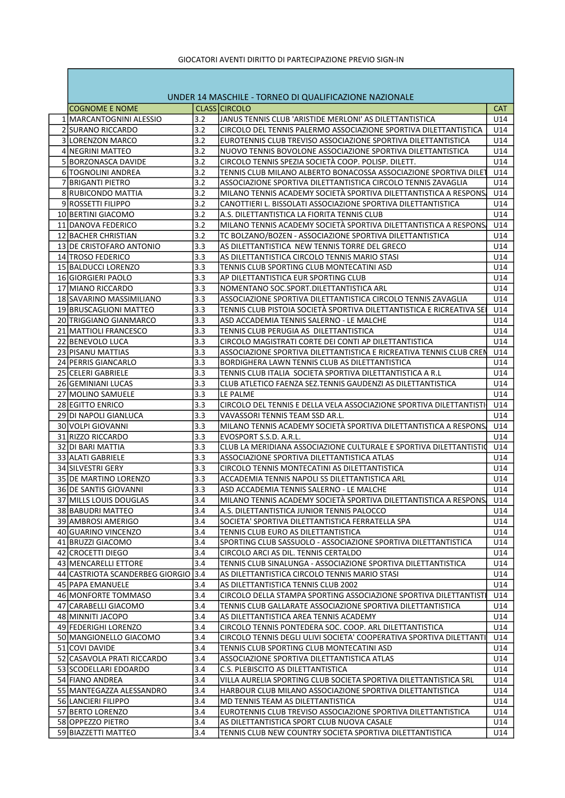## GIOCATORI AVENTI DIRITTO DI PARTECIPAZIONE PREVIO SIGN-IN

| UNDER 14 MASCHILE - TORNEO DI QUALIFICAZIONE NAZIONALE |     |                                                                      |            |  |  |  |
|--------------------------------------------------------|-----|----------------------------------------------------------------------|------------|--|--|--|
| <b>COGNOME E NOME</b>                                  |     | CLASS CIRCOLO                                                        | <b>CAT</b> |  |  |  |
| 1   MARCANTOGNINI ALESSIO                              | 3.2 | JANUS TENNIS CLUB 'ARISTIDE MERLONI' AS DILETTANTISTICA              | U14        |  |  |  |
| 2 SURANO RICCARDO                                      | 3.2 | CIRCOLO DEL TENNIS PALERMO ASSOCIAZIONE SPORTIVA DILETTANTISTICA     | U14        |  |  |  |
| 3 LORENZON MARCO                                       | 3.2 | EUROTENNIS CLUB TREVISO ASSOCIAZIONE SPORTIVA DILETTANTISTICA        | U14        |  |  |  |
| 4 INEGRINI MATTEO                                      | 3.2 | NUOVO TENNIS BOVOLONE ASSOCIAZIONE SPORTIVA DILETTANTISTICA          | U14        |  |  |  |
| 5 BORZONASCA DAVIDE                                    | 3.2 | CIRCOLO TENNIS SPEZIA SOCIETÀ COOP. POLISP. DILETT.                  | U14        |  |  |  |
| 6 TOGNOLINI ANDREA                                     | 3.2 | TENNIS CLUB MILANO ALBERTO BONACOSSA ASSOCIAZIONE SPORTIVA DILET     | U14        |  |  |  |
| 7 BRIGANTI PIETRO                                      | 3.2 | ASSOCIAZIONE SPORTIVA DILETTANTISTICA CIRCOLO TENNIS ZAVAGLIA        | U14        |  |  |  |
| 8 RUBICONDO MATTIA                                     | 3.2 | MILANO TENNIS ACADEMY SOCIETA SPORTIVA DILETTANTISTICA A RESPONS     | U14        |  |  |  |
| 9 ROSSETTI FILIPPO                                     | 3.2 | CANOTTIERI L. BISSOLATI ASSOCIAZIONE SPORTIVA DILETTANTISTICA        | U14        |  |  |  |
| 10 BERTINI GIACOMO                                     | 3.2 | A.S. DILETTANTISTICA LA FIORITA TENNIS CLUB                          | U14        |  |  |  |
| 11 DANOVA FEDERICO                                     | 3.2 | MILANO TENNIS ACADEMY SOCIETÀ SPORTIVA DILETTANTISTICA A RESPONS.    | U14        |  |  |  |
| 12 BACHER CHRISTIAN                                    | 3.2 | TC BOLZANO/BOZEN - ASSOCIAZIONE SPORTIVA DILETTANTISTICA             | U14        |  |  |  |
| 13 DE CRISTOFARO ANTONIO                               | 3.3 | AS DILETTANTISTICA NEW TENNIS TORRE DEL GRECO                        | U14        |  |  |  |
| 14 TROSO FEDERICO                                      | 3.3 | AS DILETTANTISTICA CIRCOLO TENNIS MARIO STASI                        | U14        |  |  |  |
| 15 BALDUCCI LORENZO                                    | 3.3 | TENNIS CLUB SPORTING CLUB MONTECATINI ASD                            | U14        |  |  |  |
| 16 GIORGIERI PAOLO                                     | 3.3 | AP DILETTANTISTICA EUR SPORTING CLUB                                 | U14        |  |  |  |
| 17 MIANO RICCARDO                                      | 3.3 | NOMENTANO SOC.SPORT.DILETTANTISTICA ARL                              | U14        |  |  |  |
| 18 SAVARINO MASSIMILIANO                               | 3.3 | ASSOCIAZIONE SPORTIVA DILETTANTISTICA CIRCOLO TENNIS ZAVAGLIA        | U14        |  |  |  |
| 19 BRUSCAGLIONI MATTEO                                 | 3.3 | TENNIS CLUB PISTOIA SOCIETÀ SPORTIVA DILETTANTISTICA E RICREATIVA SE | U14        |  |  |  |
| 20 TRIGGIANO GIANMARCO                                 | 3.3 | ASD ACCADEMIA TENNIS SALERNO - LE MALCHE                             | U14        |  |  |  |
|                                                        | 3.3 |                                                                      | U14        |  |  |  |
| 21 MATTIOLI FRANCESCO                                  | 3.3 | TENNIS CLUB PERUGIA AS DILETTANTISTICA                               |            |  |  |  |
| 22 BENEVOLO LUCA                                       |     | CIRCOLO MAGISTRATI CORTE DEI CONTI AP DILETTANTISTICA                | U14        |  |  |  |
| 23 PISANU MATTIAS                                      | 3.3 | ASSOCIAZIONE SPORTIVA DILETTANTISTICA E RICREATIVA TENNIS CLUB CREN  | U14        |  |  |  |
| 24 PERRIS GIANCARLO                                    | 3.3 | BORDIGHERA LAWN TENNIS CLUB AS DILETTANTISTICA                       | U14        |  |  |  |
| 25 CELERI GABRIELE                                     | 3.3 | TENNIS CLUB ITALIA SOCIETA SPORTIVA DILETTANTISTICA A R.L            | U14        |  |  |  |
| 26 GEMINIANI LUCAS                                     | 3.3 | CLUB ATLETICO FAENZA SEZ.TENNIS GAUDENZI AS DILETTANTISTICA          | U14        |  |  |  |
| 27 MOLINO SAMUELE                                      | 3.3 | LE PALME                                                             | U14        |  |  |  |
| 28 EGITTO ENRICO                                       | 3.3 | CIRCOLO DEL TENNIS E DELLA VELA ASSOCIAZIONE SPORTIVA DILETTANTISTI  | U14        |  |  |  |
| 29 DI NAPOLI GIANLUCA                                  | 3.3 | VAVASSORI TENNIS TEAM SSD AR.L.                                      | U14        |  |  |  |
| 30 VOLPI GIOVANNI                                      | 3.3 | MILANO TENNIS ACADEMY SOCIETÀ SPORTIVA DILETTANTISTICA A RESPONS.    | U14        |  |  |  |
| 31 RIZZO RICCARDO                                      | 3.3 | EVOSPORT S.S.D. A.R.L.                                               | U14        |  |  |  |
| 32 DI BARI MATTIA                                      | 3.3 | CLUB LA MERIDIANA ASSOCIAZIONE CULTURALE E SPORTIVA DILETTANTISTIO   | U14        |  |  |  |
| 33 ALATI GABRIELE                                      | 3.3 | ASSOCIAZIONE SPORTIVA DILETTANTISTICA ATLAS                          | U14        |  |  |  |
| 34 SILVESTRI GERY                                      | 3.3 | CIRCOLO TENNIS MONTECATINI AS DILETTANTISTICA                        | U14        |  |  |  |
| 35 DE MARTINO LORENZO                                  | 3.3 | ACCADEMIA TENNIS NAPOLI SS DILETTANTISTICA ARL                       | U14        |  |  |  |
| 36 DE SANTIS GIOVANNI                                  | 3.3 | ASD ACCADEMIA TENNIS SALERNO - LE MALCHE                             | U14        |  |  |  |
| 37 MILLS LOUIS DOUGLAS                                 | 3.4 | MILANO TENNIS ACADEMY SOCIETÀ SPORTIVA DILETTANTISTICA A RESPONS.    | U14        |  |  |  |
| 38 BABUDRI MATTEO                                      | 3.4 | A.S. DILETTANTISTICA JUNIOR TENNIS PALOCCO                           | U14        |  |  |  |
| 39 AMBROSI AMERIGO                                     | 3.4 | SOCIETA' SPORTIVA DILETTANTISTICA FERRATELLA SPA                     | U14        |  |  |  |
| 40 GUARINO VINCENZO                                    | 3.4 | TENNIS CLUB EURO AS DILETTANTISTICA                                  | U14        |  |  |  |
| 41 BRUZZI GIACOMO                                      | 3.4 | SPORTING CLUB SASSUOLO - ASSOCIAZIONE SPORTIVA DILETTANTISTICA       | U14        |  |  |  |
| 42 CROCETTI DIEGO                                      | 3.4 | CIRCOLO ARCI AS DIL. TENNIS CERTALDO                                 | U14        |  |  |  |
| 43 MENCARELLI ETTORE                                   | 3.4 | TENNIS CLUB SINALUNGA - ASSOCIAZIONE SPORTIVA DILETTANTISTICA        | U14        |  |  |  |
| 44 CASTRIOTA SCANDERBEG GIORGIO 3.4                    |     | AS DILETTANTISTICA CIRCOLO TENNIS MARIO STASI                        | U14        |  |  |  |
| 45 PAPA EMANUELE                                       | 3.4 | AS DILETTANTISTICA TENNIS CLUB 2002                                  | U14        |  |  |  |
| 46 MONFORTE TOMMASO                                    | 3.4 | CIRCOLO DELLA STAMPA SPORTING ASSOCIAZIONE SPORTIVA DILETTANTISTI    | U14        |  |  |  |
| 47 CARABELLI GIACOMO                                   | 3.4 | TENNIS CLUB GALLARATE ASSOCIAZIONE SPORTIVA DILETTANTISTICA          | U14        |  |  |  |
| 48 MINNITI JACOPO                                      | 3.4 | AS DILETTANTISTICA AREA TENNIS ACADEMY                               | U14        |  |  |  |
| 49 FEDERIGHI LORENZO                                   | 3.4 | CIRCOLO TENNIS PONTEDERA SOC. COOP. ARL DILETTANTISTICA              | U14        |  |  |  |
| 50 MANGIONELLO GIACOMO                                 | 3.4 | CIRCOLO TENNIS DEGLI ULIVI SOCIETA' COOPERATIVA SPORTIVA DILETTANTI  | U14        |  |  |  |
| 51 COVI DAVIDE                                         | 3.4 | TENNIS CLUB SPORTING CLUB MONTECATINI ASD                            | U14        |  |  |  |
| 52 CASAVOLA PRATI RICCARDO                             | 3.4 | ASSOCIAZIONE SPORTIVA DILETTANTISTICA ATLAS                          | U14        |  |  |  |
| 53 SCODELLARI EDOARDO                                  | 3.4 | C.S. PLEBISCITO AS DILETTANTISTICA                                   | U14        |  |  |  |
| 54 FIANO ANDREA                                        | 3.4 | VILLA AURELIA SPORTING CLUB SOCIETA SPORTIVA DILETTANTISTICA SRL     | U14        |  |  |  |
| 55 MANTEGAZZA ALESSANDRO                               | 3.4 | HARBOUR CLUB MILANO ASSOCIAZIONE SPORTIVA DILETTANTISTICA            | U14        |  |  |  |
| 56 LANCIERI FILIPPO                                    | 3.4 | MD TENNIS TEAM AS DILETTANTISTICA                                    | U14        |  |  |  |
| 57 BERTO LORENZO                                       | 3.4 |                                                                      |            |  |  |  |
|                                                        | 3.4 | EUROTENNIS CLUB TREVISO ASSOCIAZIONE SPORTIVA DILETTANTISTICA        | U14        |  |  |  |
| 58 OPPEZZO PIETRO                                      |     | AS DILETTANTISTICA SPORT CLUB NUOVA CASALE                           | U14        |  |  |  |
| 59 BIAZZETTI MATTEO                                    | 3.4 | TENNIS CLUB NEW COUNTRY SOCIETA SPORTIVA DILETTANTISTICA             | U14        |  |  |  |